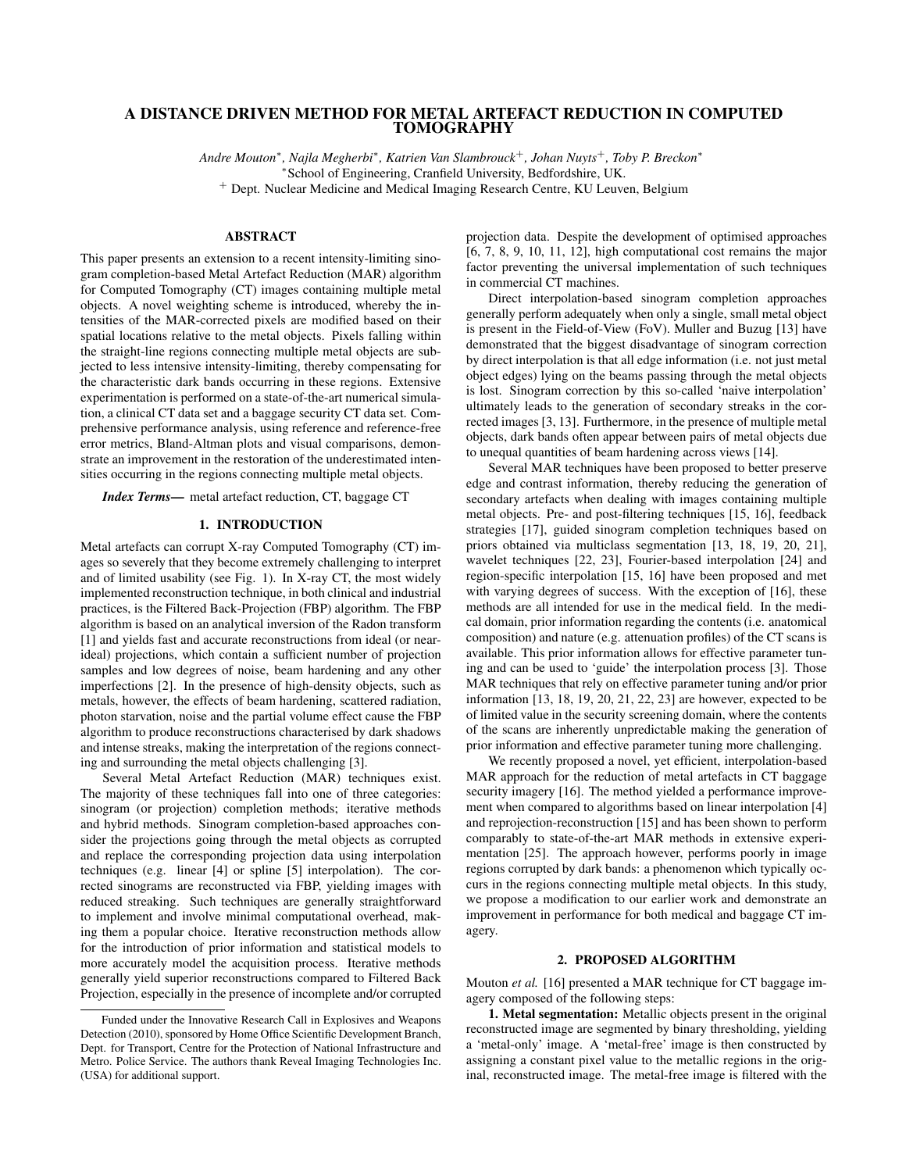### A DISTANCE DRIVEN METHOD FOR METAL ARTEFACT REDUCTION IN COMPUTED TOMOGRAPHY

*Andre Mouton*<sup>∗</sup> *, Najla Megherbi*<sup>∗</sup> *, Katrien Van Slambrouck*<sup>+</sup>*, Johan Nuyts*<sup>+</sup>*, Toby P. Breckon*<sup>∗</sup> ∗ School of Engineering, Cranfield University, Bedfordshire, UK. <sup>+</sup> Dept. Nuclear Medicine and Medical Imaging Research Centre, KU Leuven, Belgium

# ABSTRACT

This paper presents an extension to a recent intensity-limiting sinogram completion-based Metal Artefact Reduction (MAR) algorithm for Computed Tomography (CT) images containing multiple metal objects. A novel weighting scheme is introduced, whereby the intensities of the MAR-corrected pixels are modified based on their spatial locations relative to the metal objects. Pixels falling within the straight-line regions connecting multiple metal objects are subjected to less intensive intensity-limiting, thereby compensating for the characteristic dark bands occurring in these regions. Extensive experimentation is performed on a state-of-the-art numerical simulation, a clinical CT data set and a baggage security CT data set. Comprehensive performance analysis, using reference and reference-free error metrics, Bland-Altman plots and visual comparisons, demonstrate an improvement in the restoration of the underestimated intensities occurring in the regions connecting multiple metal objects.

*Index Terms*— metal artefact reduction, CT, baggage CT

# 1. INTRODUCTION

Metal artefacts can corrupt X-ray Computed Tomography (CT) images so severely that they become extremely challenging to interpret and of limited usability (see Fig. 1). In X-ray CT, the most widely implemented reconstruction technique, in both clinical and industrial practices, is the Filtered Back-Projection (FBP) algorithm. The FBP algorithm is based on an analytical inversion of the Radon transform [1] and yields fast and accurate reconstructions from ideal (or nearideal) projections, which contain a sufficient number of projection samples and low degrees of noise, beam hardening and any other imperfections [2]. In the presence of high-density objects, such as metals, however, the effects of beam hardening, scattered radiation, photon starvation, noise and the partial volume effect cause the FBP algorithm to produce reconstructions characterised by dark shadows and intense streaks, making the interpretation of the regions connecting and surrounding the metal objects challenging [3].

Several Metal Artefact Reduction (MAR) techniques exist. The majority of these techniques fall into one of three categories: sinogram (or projection) completion methods; iterative methods and hybrid methods. Sinogram completion-based approaches consider the projections going through the metal objects as corrupted and replace the corresponding projection data using interpolation techniques (e.g. linear [4] or spline [5] interpolation). The corrected sinograms are reconstructed via FBP, yielding images with reduced streaking. Such techniques are generally straightforward to implement and involve minimal computational overhead, making them a popular choice. Iterative reconstruction methods allow for the introduction of prior information and statistical models to more accurately model the acquisition process. Iterative methods generally yield superior reconstructions compared to Filtered Back Projection, especially in the presence of incomplete and/or corrupted projection data. Despite the development of optimised approaches [6, 7, 8, 9, 10, 11, 12], high computational cost remains the major factor preventing the universal implementation of such techniques in commercial CT machines.

Direct interpolation-based sinogram completion approaches generally perform adequately when only a single, small metal object is present in the Field-of-View (FoV). Muller and Buzug [13] have demonstrated that the biggest disadvantage of sinogram correction by direct interpolation is that all edge information (i.e. not just metal object edges) lying on the beams passing through the metal objects is lost. Sinogram correction by this so-called 'naive interpolation' ultimately leads to the generation of secondary streaks in the corrected images [3, 13]. Furthermore, in the presence of multiple metal objects, dark bands often appear between pairs of metal objects due to unequal quantities of beam hardening across views [14].

Several MAR techniques have been proposed to better preserve edge and contrast information, thereby reducing the generation of secondary artefacts when dealing with images containing multiple metal objects. Pre- and post-filtering techniques [15, 16], feedback strategies [17], guided sinogram completion techniques based on priors obtained via multiclass segmentation [13, 18, 19, 20, 21], wavelet techniques [22, 23], Fourier-based interpolation [24] and region-specific interpolation [15, 16] have been proposed and met with varying degrees of success. With the exception of [16], these methods are all intended for use in the medical field. In the medical domain, prior information regarding the contents (i.e. anatomical composition) and nature (e.g. attenuation profiles) of the CT scans is available. This prior information allows for effective parameter tuning and can be used to 'guide' the interpolation process [3]. Those MAR techniques that rely on effective parameter tuning and/or prior information [13, 18, 19, 20, 21, 22, 23] are however, expected to be of limited value in the security screening domain, where the contents of the scans are inherently unpredictable making the generation of prior information and effective parameter tuning more challenging.

We recently proposed a novel, yet efficient, interpolation-based MAR approach for the reduction of metal artefacts in CT baggage security imagery [16]. The method yielded a performance improvement when compared to algorithms based on linear interpolation [4] and reprojection-reconstruction [15] and has been shown to perform comparably to state-of-the-art MAR methods in extensive experimentation [25]. The approach however, performs poorly in image regions corrupted by dark bands: a phenomenon which typically occurs in the regions connecting multiple metal objects. In this study, we propose a modification to our earlier work and demonstrate an improvement in performance for both medical and baggage CT imagery.

#### 2. PROPOSED ALGORITHM

Mouton *et al.* [16] presented a MAR technique for CT baggage imagery composed of the following steps:

1. Metal segmentation: Metallic objects present in the original reconstructed image are segmented by binary thresholding, yielding a 'metal-only' image. A 'metal-free' image is then constructed by assigning a constant pixel value to the metallic regions in the original, reconstructed image. The metal-free image is filtered with the

Funded under the Innovative Research Call in Explosives and Weapons Detection (2010), sponsored by Home Office Scientific Development Branch, Dept. for Transport, Centre for the Protection of National Infrastructure and Metro. Police Service. The authors thank Reveal Imaging Technologies Inc. (USA) for additional support.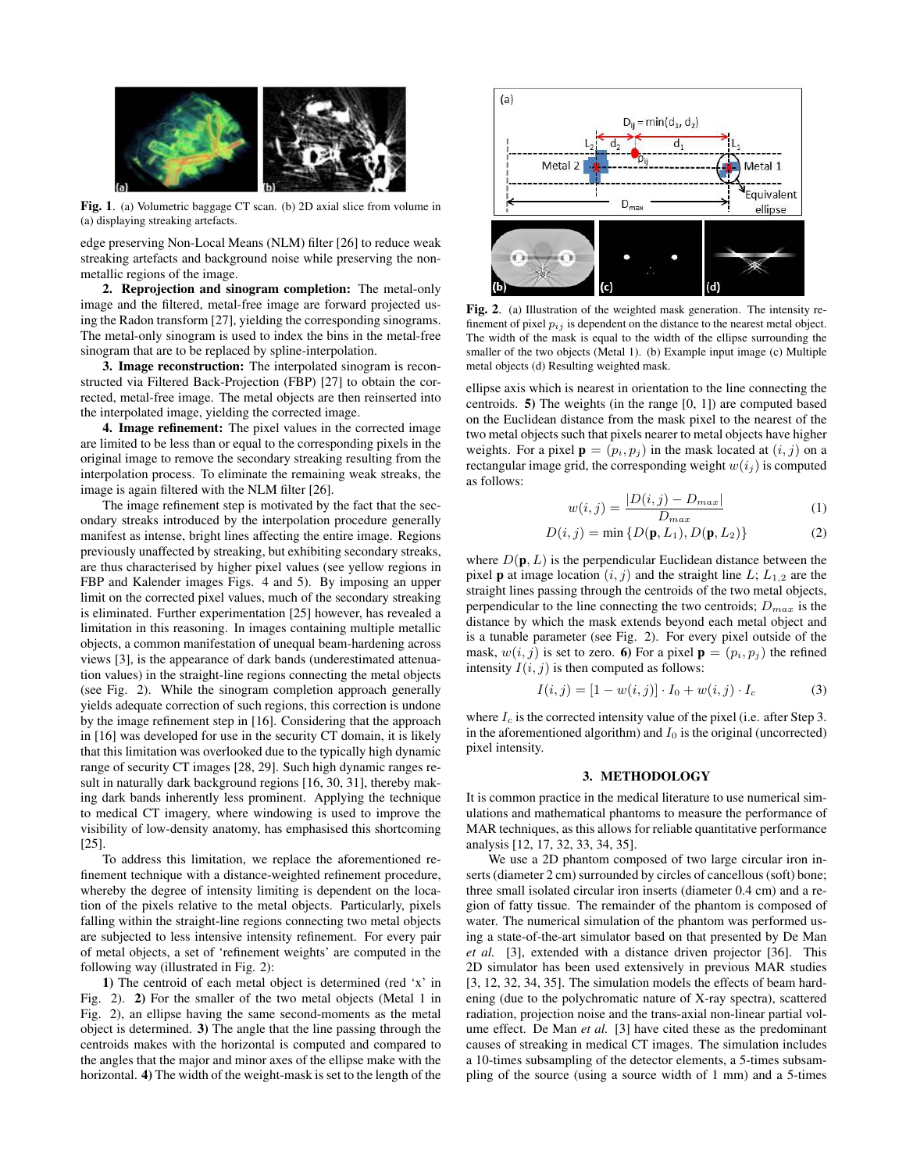

Fig. 1. (a) Volumetric baggage CT scan. (b) 2D axial slice from volume in (a) displaying streaking artefacts.

edge preserving Non-Local Means (NLM) filter [26] to reduce weak streaking artefacts and background noise while preserving the nonmetallic regions of the image.

2. Reprojection and sinogram completion: The metal-only image and the filtered, metal-free image are forward projected using the Radon transform [27], yielding the corresponding sinograms. The metal-only sinogram is used to index the bins in the metal-free sinogram that are to be replaced by spline-interpolation.

3. Image reconstruction: The interpolated sinogram is reconstructed via Filtered Back-Projection (FBP) [27] to obtain the corrected, metal-free image. The metal objects are then reinserted into the interpolated image, yielding the corrected image.

4. Image refinement: The pixel values in the corrected image are limited to be less than or equal to the corresponding pixels in the original image to remove the secondary streaking resulting from the interpolation process. To eliminate the remaining weak streaks, the image is again filtered with the NLM filter [26].

The image refinement step is motivated by the fact that the secondary streaks introduced by the interpolation procedure generally manifest as intense, bright lines affecting the entire image. Regions previously unaffected by streaking, but exhibiting secondary streaks, are thus characterised by higher pixel values (see yellow regions in FBP and Kalender images Figs. 4 and 5). By imposing an upper limit on the corrected pixel values, much of the secondary streaking is eliminated. Further experimentation [25] however, has revealed a limitation in this reasoning. In images containing multiple metallic objects, a common manifestation of unequal beam-hardening across views [3], is the appearance of dark bands (underestimated attenuation values) in the straight-line regions connecting the metal objects (see Fig. 2). While the sinogram completion approach generally yields adequate correction of such regions, this correction is undone by the image refinement step in [16]. Considering that the approach in [16] was developed for use in the security CT domain, it is likely that this limitation was overlooked due to the typically high dynamic range of security CT images [28, 29]. Such high dynamic ranges result in naturally dark background regions [16, 30, 31], thereby making dark bands inherently less prominent. Applying the technique to medical CT imagery, where windowing is used to improve the visibility of low-density anatomy, has emphasised this shortcoming [25].

To address this limitation, we replace the aforementioned refinement technique with a distance-weighted refinement procedure, whereby the degree of intensity limiting is dependent on the location of the pixels relative to the metal objects. Particularly, pixels falling within the straight-line regions connecting two metal objects are subjected to less intensive intensity refinement. For every pair of metal objects, a set of 'refinement weights' are computed in the following way (illustrated in Fig. 2):

1) The centroid of each metal object is determined (red 'x' in Fig. 2). 2) For the smaller of the two metal objects (Metal 1 in Fig. 2), an ellipse having the same second-moments as the metal object is determined. 3) The angle that the line passing through the centroids makes with the horizontal is computed and compared to the angles that the major and minor axes of the ellipse make with the horizontal. 4) The width of the weight-mask is set to the length of the



Fig. 2. (a) Illustration of the weighted mask generation. The intensity refinement of pixel  $p_{ij}$  is dependent on the distance to the nearest metal object. The width of the mask is equal to the width of the ellipse surrounding the smaller of the two objects (Metal 1). (b) Example input image (c) Multiple metal objects (d) Resulting weighted mask.

ellipse axis which is nearest in orientation to the line connecting the centroids. 5) The weights (in the range [0, 1]) are computed based on the Euclidean distance from the mask pixel to the nearest of the two metal objects such that pixels nearer to metal objects have higher weights. For a pixel  $\mathbf{p} = (p_i, p_j)$  in the mask located at  $(i, j)$  on a rectangular image grid, the corresponding weight  $w(i)$  is computed as follows:

$$
w(i,j) = \frac{|D(i,j) - D_{max}|}{D_{max}}\tag{1}
$$

$$
D(i, j) = \min \{ D(\mathbf{p}, L_1), D(\mathbf{p}, L_2) \}
$$
 (2)

where  $D(\mathbf{p}, L)$  is the perpendicular Euclidean distance between the pixel **p** at image location  $(i, j)$  and the straight line L;  $L_{1,2}$  are the straight lines passing through the centroids of the two metal objects, perpendicular to the line connecting the two centroids;  $D_{max}$  is the distance by which the mask extends beyond each metal object and is a tunable parameter (see Fig. 2). For every pixel outside of the mask,  $w(i, j)$  is set to zero. 6) For a pixel  $\mathbf{p} = (p_i, p_j)$  the refined intensity  $I(i, j)$  is then computed as follows:

$$
I(i,j) = [1 - w(i,j)] \cdot I_0 + w(i,j) \cdot I_c \tag{3}
$$

where  $I_c$  is the corrected intensity value of the pixel (i.e. after Step 3. in the aforementioned algorithm) and  $I_0$  is the original (uncorrected) pixel intensity.

#### 3. METHODOLOGY

It is common practice in the medical literature to use numerical simulations and mathematical phantoms to measure the performance of MAR techniques, as this allows for reliable quantitative performance analysis [12, 17, 32, 33, 34, 35].

We use a 2D phantom composed of two large circular iron inserts (diameter 2 cm) surrounded by circles of cancellous (soft) bone; three small isolated circular iron inserts (diameter 0.4 cm) and a region of fatty tissue. The remainder of the phantom is composed of water. The numerical simulation of the phantom was performed using a state-of-the-art simulator based on that presented by De Man *et al.* [3], extended with a distance driven projector [36]. This 2D simulator has been used extensively in previous MAR studies [3, 12, 32, 34, 35]. The simulation models the effects of beam hardening (due to the polychromatic nature of X-ray spectra), scattered radiation, projection noise and the trans-axial non-linear partial volume effect. De Man *et al.* [3] have cited these as the predominant causes of streaking in medical CT images. The simulation includes a 10-times subsampling of the detector elements, a 5-times subsampling of the source (using a source width of 1 mm) and a 5-times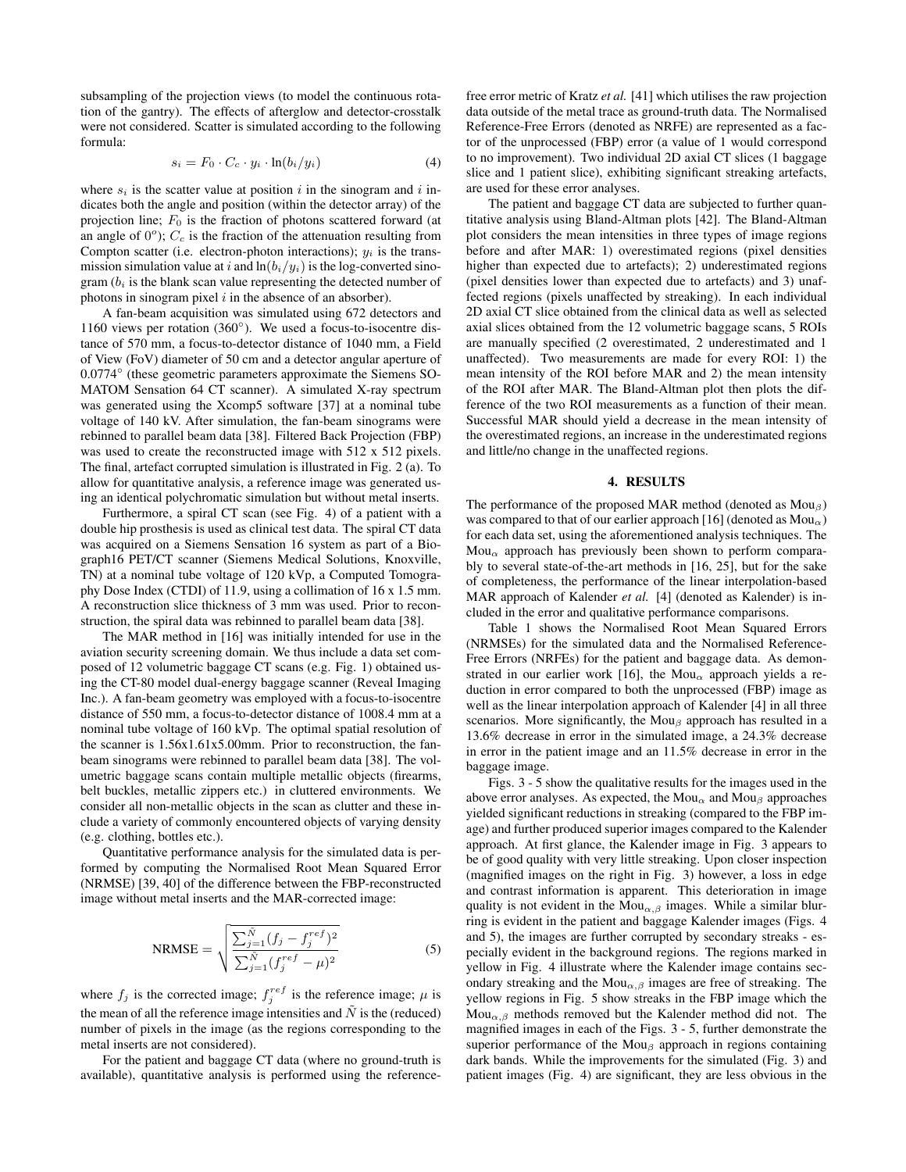subsampling of the projection views (to model the continuous rotation of the gantry). The effects of afterglow and detector-crosstalk were not considered. Scatter is simulated according to the following formula:

$$
s_i = F_0 \cdot C_c \cdot y_i \cdot \ln(b_i/y_i) \tag{4}
$$

where  $s_i$  is the scatter value at position i in the sinogram and i indicates both the angle and position (within the detector array) of the projection line;  $F_0$  is the fraction of photons scattered forward (at an angle of  $0^{\circ}$ );  $C_c$  is the fraction of the attenuation resulting from Compton scatter (i.e. electron-photon interactions);  $y_i$  is the transmission simulation value at i and  $ln(b_i/y_i)$  is the log-converted sinogram  $(b<sub>i</sub>$  is the blank scan value representing the detected number of photons in sinogram pixel  $i$  in the absence of an absorber).

A fan-beam acquisition was simulated using 672 detectors and 1160 views per rotation (360°). We used a focus-to-isocentre distance of 570 mm, a focus-to-detector distance of 1040 mm, a Field of View (FoV) diameter of 50 cm and a detector angular aperture of 0.0774° (these geometric parameters approximate the Siemens SO-MATOM Sensation 64 CT scanner). A simulated X-ray spectrum was generated using the Xcomp5 software [37] at a nominal tube voltage of 140 kV. After simulation, the fan-beam sinograms were rebinned to parallel beam data [38]. Filtered Back Projection (FBP) was used to create the reconstructed image with 512 x 512 pixels. The final, artefact corrupted simulation is illustrated in Fig. 2 (a). To allow for quantitative analysis, a reference image was generated using an identical polychromatic simulation but without metal inserts.

Furthermore, a spiral CT scan (see Fig. 4) of a patient with a double hip prosthesis is used as clinical test data. The spiral CT data was acquired on a Siemens Sensation 16 system as part of a Biograph16 PET/CT scanner (Siemens Medical Solutions, Knoxville, TN) at a nominal tube voltage of 120 kVp, a Computed Tomography Dose Index (CTDI) of 11.9, using a collimation of 16 x 1.5 mm. A reconstruction slice thickness of 3 mm was used. Prior to reconstruction, the spiral data was rebinned to parallel beam data [38].

The MAR method in [16] was initially intended for use in the aviation security screening domain. We thus include a data set composed of 12 volumetric baggage CT scans (e.g. Fig. 1) obtained using the CT-80 model dual-energy baggage scanner (Reveal Imaging Inc.). A fan-beam geometry was employed with a focus-to-isocentre distance of 550 mm, a focus-to-detector distance of 1008.4 mm at a nominal tube voltage of 160 kVp. The optimal spatial resolution of the scanner is 1.56x1.61x5.00mm. Prior to reconstruction, the fanbeam sinograms were rebinned to parallel beam data [38]. The volumetric baggage scans contain multiple metallic objects (firearms, belt buckles, metallic zippers etc.) in cluttered environments. We consider all non-metallic objects in the scan as clutter and these include a variety of commonly encountered objects of varying density (e.g. clothing, bottles etc.).

Quantitative performance analysis for the simulated data is performed by computing the Normalised Root Mean Squared Error (NRMSE) [39, 40] of the difference between the FBP-reconstructed image without metal inserts and the MAR-corrected image:

NRMSE = 
$$
\sqrt{\frac{\sum_{j=1}^{\tilde{N}} (f_j - f_j^{ref})^2}{\sum_{j=1}^{\tilde{N}} (f_j^{ref} - \mu)^2}}
$$
(5)

where  $f_j$  is the corrected image;  $f_j^{ref}$  is the reference image;  $\mu$  is the mean of all the reference image intensities and  $\tilde{N}$  is the (reduced) number of pixels in the image (as the regions corresponding to the metal inserts are not considered).

For the patient and baggage CT data (where no ground-truth is available), quantitative analysis is performed using the referencefree error metric of Kratz *et al.* [41] which utilises the raw projection data outside of the metal trace as ground-truth data. The Normalised Reference-Free Errors (denoted as NRFE) are represented as a factor of the unprocessed (FBP) error (a value of 1 would correspond to no improvement). Two individual 2D axial CT slices (1 baggage slice and 1 patient slice), exhibiting significant streaking artefacts, are used for these error analyses.

The patient and baggage CT data are subjected to further quantitative analysis using Bland-Altman plots [42]. The Bland-Altman plot considers the mean intensities in three types of image regions before and after MAR: 1) overestimated regions (pixel densities higher than expected due to artefacts); 2) underestimated regions (pixel densities lower than expected due to artefacts) and 3) unaffected regions (pixels unaffected by streaking). In each individual 2D axial CT slice obtained from the clinical data as well as selected axial slices obtained from the 12 volumetric baggage scans, 5 ROIs are manually specified (2 overestimated, 2 underestimated and 1 unaffected). Two measurements are made for every ROI: 1) the mean intensity of the ROI before MAR and 2) the mean intensity of the ROI after MAR. The Bland-Altman plot then plots the difference of the two ROI measurements as a function of their mean. Successful MAR should yield a decrease in the mean intensity of the overestimated regions, an increase in the underestimated regions and little/no change in the unaffected regions.

### 4. RESULTS

The performance of the proposed MAR method (denoted as  $Mou<sub>β</sub>$ ) was compared to that of our earlier approach [16] (denoted as  $Mou<sub>α</sub>$ ) for each data set, using the aforementioned analysis techniques. The  $Mou<sub>α</sub>$  approach has previously been shown to perform comparably to several state-of-the-art methods in [16, 25], but for the sake of completeness, the performance of the linear interpolation-based MAR approach of Kalender *et al.* [4] (denoted as Kalender) is included in the error and qualitative performance comparisons.

Table 1 shows the Normalised Root Mean Squared Errors (NRMSEs) for the simulated data and the Normalised Reference-Free Errors (NRFEs) for the patient and baggage data. As demonstrated in our earlier work [16], the Mou<sub> $\alpha$ </sub> approach yields a reduction in error compared to both the unprocessed (FBP) image as well as the linear interpolation approach of Kalender [4] in all three scenarios. More significantly, the Mou<sub> $\beta$ </sub> approach has resulted in a 13.6% decrease in error in the simulated image, a 24.3% decrease in error in the patient image and an 11.5% decrease in error in the baggage image.

Figs. 3 - 5 show the qualitative results for the images used in the above error analyses. As expected, the  $Mou_\alpha$  and  $Mou_\beta$  approaches yielded significant reductions in streaking (compared to the FBP image) and further produced superior images compared to the Kalender approach. At first glance, the Kalender image in Fig. 3 appears to be of good quality with very little streaking. Upon closer inspection (magnified images on the right in Fig. 3) however, a loss in edge and contrast information is apparent. This deterioration in image quality is not evident in the Mou<sub> $\alpha, \beta$ </sub> images. While a similar blurring is evident in the patient and baggage Kalender images (Figs. 4 and 5), the images are further corrupted by secondary streaks - especially evident in the background regions. The regions marked in yellow in Fig. 4 illustrate where the Kalender image contains secondary streaking and the  $Mou_{\alpha,\beta}$  images are free of streaking. The yellow regions in Fig. 5 show streaks in the FBP image which the Mou<sub> $\alpha,\beta$ </sub> methods removed but the Kalender method did not. The magnified images in each of the Figs. 3 - 5, further demonstrate the superior performance of the  $Mou<sub>β</sub>$  approach in regions containing dark bands. While the improvements for the simulated (Fig. 3) and patient images (Fig. 4) are significant, they are less obvious in the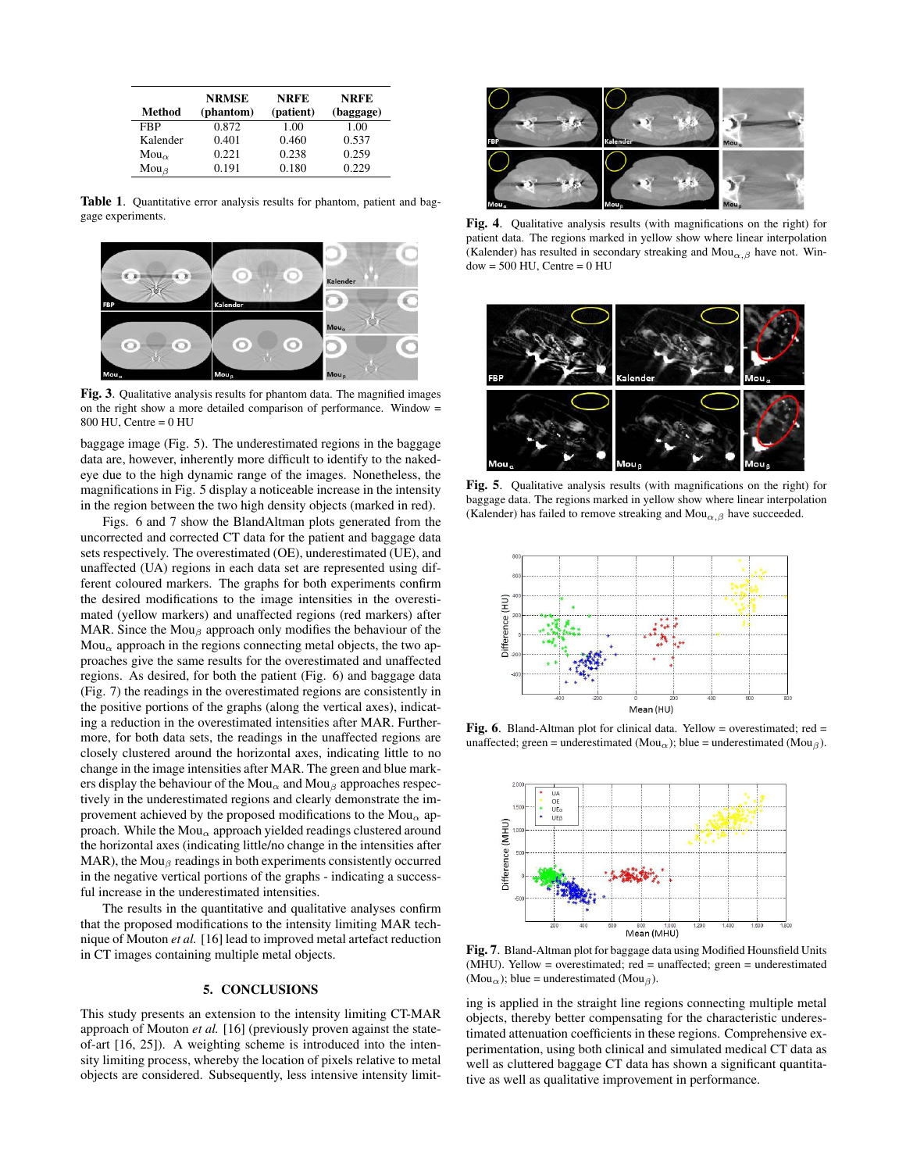| Method         | <b>NRMSE</b><br>(phantom) | <b>NRFE</b><br>(patient) | <b>NRFE</b><br>(baggage) |
|----------------|---------------------------|--------------------------|--------------------------|
| FRP            | 0.872                     | 1.00                     | 1.00                     |
| Kalender       | 0.401                     | 0.460                    | 0.537                    |
| $Mou_{\alpha}$ | 0.221                     | 0.238                    | 0.259                    |
| $Mou_{\beta}$  | 0.191                     | 0.180                    | 0.229                    |

Table 1. Quantitative error analysis results for phantom, patient and baggage experiments.



Fig. 3. Qualitative analysis results for phantom data. The magnified images on the right show a more detailed comparison of performance. Window = 800 HU, Centre = 0 HU

baggage image (Fig. 5). The underestimated regions in the baggage data are, however, inherently more difficult to identify to the nakedeye due to the high dynamic range of the images. Nonetheless, the magnifications in Fig. 5 display a noticeable increase in the intensity in the region between the two high density objects (marked in red).

Figs. 6 and 7 show the BlandAltman plots generated from the uncorrected and corrected CT data for the patient and baggage data sets respectively. The overestimated (OE), underestimated (UE), and unaffected (UA) regions in each data set are represented using different coloured markers. The graphs for both experiments confirm the desired modifications to the image intensities in the overestimated (yellow markers) and unaffected regions (red markers) after MAR. Since the Mou<sub> $\beta$ </sub> approach only modifies the behaviour of the  $Mou<sub>\alpha</sub>$  approach in the regions connecting metal objects, the two approaches give the same results for the overestimated and unaffected regions. As desired, for both the patient (Fig. 6) and baggage data (Fig. 7) the readings in the overestimated regions are consistently in the positive portions of the graphs (along the vertical axes), indicating a reduction in the overestimated intensities after MAR. Furthermore, for both data sets, the readings in the unaffected regions are closely clustered around the horizontal axes, indicating little to no change in the image intensities after MAR. The green and blue markers display the behaviour of the Mou<sub> $\alpha$ </sub> and Mou<sub> $\beta$ </sub> approaches respectively in the underestimated regions and clearly demonstrate the improvement achieved by the proposed modifications to the  $Mou<sub>\alpha</sub>$  approach. While the  $Mou_{\alpha}$  approach yielded readings clustered around the horizontal axes (indicating little/no change in the intensities after MAR), the Mou $_\beta$  readings in both experiments consistently occurred in the negative vertical portions of the graphs - indicating a successful increase in the underestimated intensities.

The results in the quantitative and qualitative analyses confirm that the proposed modifications to the intensity limiting MAR technique of Mouton *et al.* [16] lead to improved metal artefact reduction in CT images containing multiple metal objects.

# 5. CONCLUSIONS

This study presents an extension to the intensity limiting CT-MAR approach of Mouton *et al.* [16] (previously proven against the stateof-art [16, 25]). A weighting scheme is introduced into the intensity limiting process, whereby the location of pixels relative to metal objects are considered. Subsequently, less intensive intensity limit-



Fig. 4. Qualitative analysis results (with magnifications on the right) for patient data. The regions marked in yellow show where linear interpolation (Kalender) has resulted in secondary streaking and  $Mou_{\alpha,\beta}$  have not. Win $dow = 500$  HU, Centre  $= 0$  HU



Fig. 5. Qualitative analysis results (with magnifications on the right) for baggage data. The regions marked in yellow show where linear interpolation (Kalender) has failed to remove streaking and  $Mou_{\alpha,\beta}$  have succeeded.



Fig. 6. Bland-Altman plot for clinical data. Yellow = overestimated; red = unaffected; green = underestimated ( $Mou<sub>\alpha</sub>$ ); blue = underestimated ( $Mou<sub>\beta</sub>$ ).



Fig. 7. Bland-Altman plot for baggage data using Modified Hounsfield Units (MHU). Yellow = overestimated; red = unaffected; green = underestimated (Mou<sub> $\alpha$ </sub>); blue = underestimated (Mou<sub> $\beta$ </sub>).

ing is applied in the straight line regions connecting multiple metal objects, thereby better compensating for the characteristic underestimated attenuation coefficients in these regions. Comprehensive experimentation, using both clinical and simulated medical CT data as well as cluttered baggage CT data has shown a significant quantitative as well as qualitative improvement in performance.